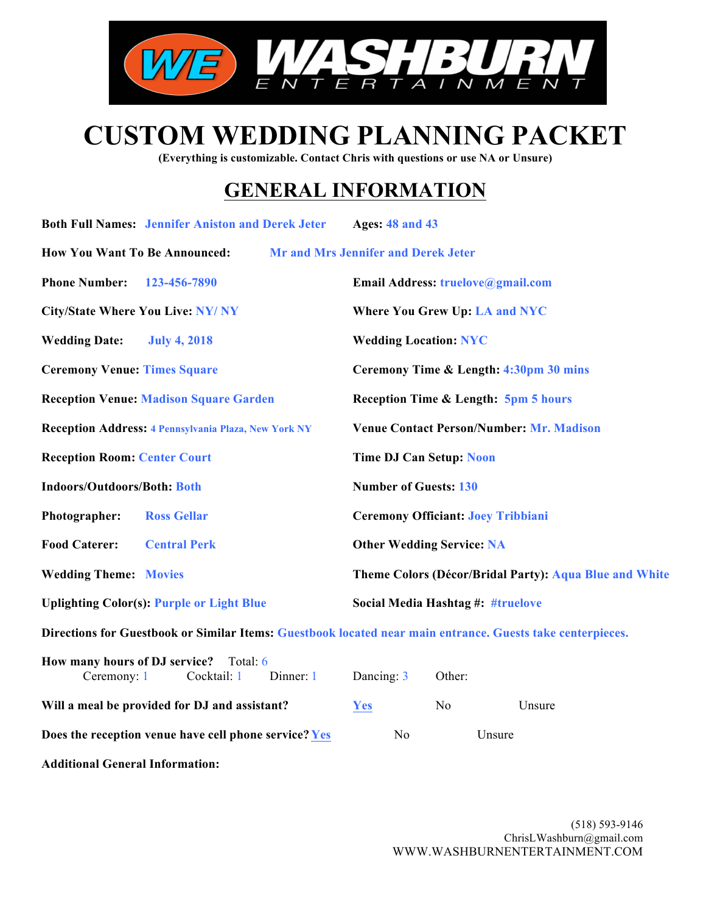

# **CUSTOM WEDDING PLANNING PACKET**

**(Everything is customizable. Contact Chris with questions or use NA or Unsure)**

## **GENERAL INFORMATION**

|                                              | <b>Both Full Names: Jennifer Aniston and Derek Jeter</b>    |           | <b>Ages: 48 and 43</b>                     |                |                                                                                                            |  |
|----------------------------------------------|-------------------------------------------------------------|-----------|--------------------------------------------|----------------|------------------------------------------------------------------------------------------------------------|--|
| <b>How You Want To Be Announced:</b>         |                                                             |           | <b>Mr and Mrs Jennifer and Derek Jeter</b> |                |                                                                                                            |  |
| <b>Phone Number:</b>                         | 123-456-7890                                                |           | Email Address: truelove@gmail.com          |                |                                                                                                            |  |
| <b>City/State Where You Live: NY/ NY</b>     |                                                             |           | <b>Where You Grew Up: LA and NYC</b>       |                |                                                                                                            |  |
| <b>Wedding Date:</b>                         | <b>July 4, 2018</b>                                         |           | <b>Wedding Location: NYC</b>               |                |                                                                                                            |  |
| <b>Ceremony Venue: Times Square</b>          |                                                             |           |                                            |                | Ceremony Time & Length: 4:30pm 30 mins                                                                     |  |
|                                              | <b>Reception Venue: Madison Square Garden</b>               |           |                                            |                | <b>Reception Time &amp; Length: 5pm 5 hours</b>                                                            |  |
|                                              | <b>Reception Address: 4 Pennsylvania Plaza, New York NY</b> |           |                                            |                | <b>Venue Contact Person/Number: Mr. Madison</b>                                                            |  |
| <b>Reception Room: Center Court</b>          |                                                             |           | <b>Time DJ Can Setup: Noon</b>             |                |                                                                                                            |  |
| <b>Indoors/Outdoors/Both: Both</b>           |                                                             |           | <b>Number of Guests: 130</b>               |                |                                                                                                            |  |
| Photographer:                                | <b>Ross Gellar</b>                                          |           | <b>Ceremony Officiant: Joey Tribbiani</b>  |                |                                                                                                            |  |
| <b>Food Caterer:</b>                         | <b>Central Perk</b>                                         |           | <b>Other Wedding Service: NA</b>           |                |                                                                                                            |  |
| <b>Wedding Theme: Movies</b>                 |                                                             |           |                                            |                | Theme Colors (Décor/Bridal Party): Aqua Blue and White                                                     |  |
|                                              | <b>Uplighting Color(s): Purple or Light Blue</b>            |           | Social Media Hashtag #: #truelove          |                |                                                                                                            |  |
|                                              |                                                             |           |                                            |                | Directions for Guestbook or Similar Items: Guestbook located near main entrance. Guests take centerpieces. |  |
| How many hours of DJ service?<br>Ceremony: 1 | Total: 6<br>Cocktail: 1                                     | Dinner: 1 | Dancing: 3                                 | Other:         |                                                                                                            |  |
|                                              | Will a meal be provided for DJ and assistant?               |           | Yes                                        | N <sub>o</sub> | Unsure                                                                                                     |  |
|                                              | Does the reception venue have cell phone service? Yes       |           | N <sub>0</sub>                             |                | Unsure                                                                                                     |  |

**Additional General Information:**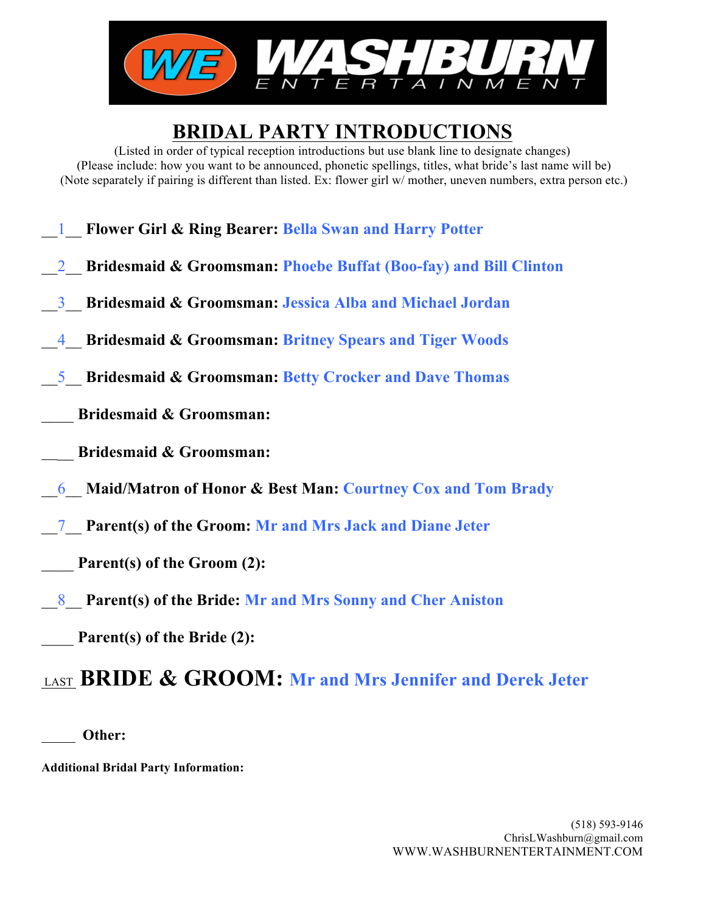

## **BRIDAL PARTY INTRODUCTIONS**

(Listed in order of typical reception introductions but use blank line to designate changes) (Please include: how you want to be announced, phonetic spellings, titles, what bride's last name will be) (Note separately if pairing is different than listed. Ex: flower girl w/ mother, uneven numbers, extra person etc.)

\_\_1\_\_ **Flower Girl & Ring Bearer: Bella Swan and Harry Potter** \_\_2\_\_ **Bridesmaid & Groomsman: Phoebe Buffat (Boo-fay) and Bill Clinton**  \_\_3\_\_ **Bridesmaid & Groomsman: Jessica Alba and Michael Jordan** \_\_4\_\_ **Bridesmaid & Groomsman: Britney Spears and Tiger Woods** \_\_5\_\_ **Bridesmaid & Groomsman: Betty Crocker and Dave Thomas** \_\_\_\_ **Bridesmaid & Groomsman:** \_\_ **Bridesmaid & Groomsman:** \_\_6\_\_ **Maid/Matron of Honor & Best Man: Courtney Cox and Tom Brady** \_\_7\_\_ **Parent(s) of the Groom: Mr and Mrs Jack and Diane Jeter** Parent(s) of the Groom (2): \_\_8\_\_ **Parent(s) of the Bride: Mr and Mrs Sonny and Cher Aniston** Parent(s) of the Bride (2): LAST **BRIDE & GROOM: Mr and Mrs Jennifer and Derek Jeter**

 **Other:**

**Additional Bridal Party Information:**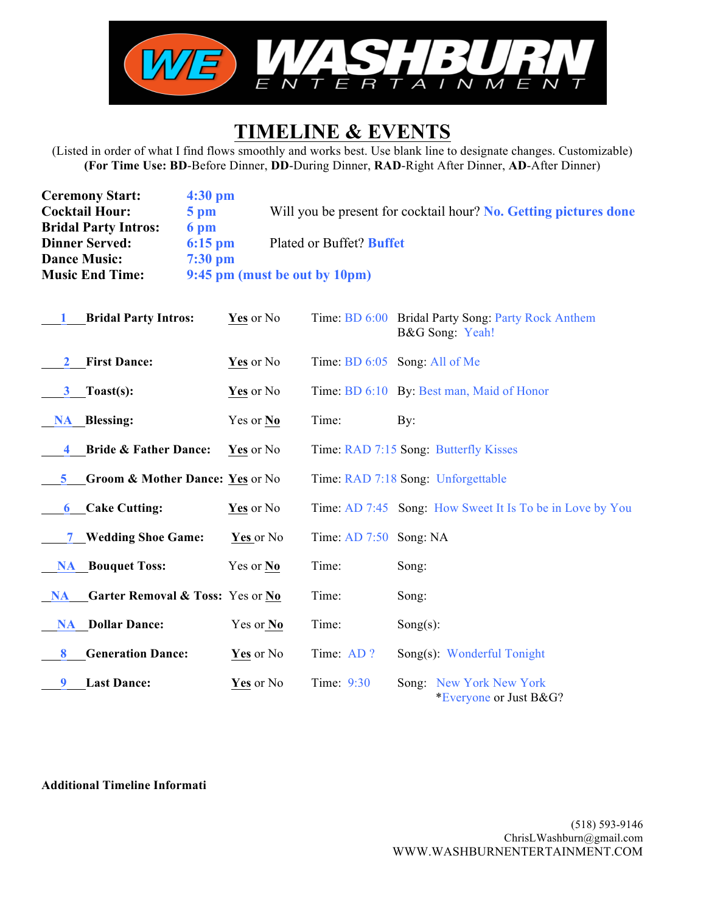

### **TIMELINE & EVENTS**

(Listed in order of what I find flows smoothly and works best. Use blank line to designate changes. Customizable) **(For Time Use: BD**-Before Dinner, **DD**-During Dinner, **RAD**-Right After Dinner, **AD**-After Dinner)

| <b>Ceremony Start:</b>      | $4:30 \text{ pm}$ |                                                                  |
|-----------------------------|-------------------|------------------------------------------------------------------|
| <b>Cocktail Hour:</b>       | $5 \text{ pm}$    | Will you be present for cocktail hour? No. Getting pictures done |
| <b>Bridal Party Intros:</b> | 6 pm              |                                                                  |
| <b>Dinner Served:</b>       | $6:15$ pm         | Plated or Buffet? Buffet                                         |
| <b>Dance Music:</b>         | $7:30$ pm         |                                                                  |
| <b>Music End Time:</b>      |                   | 9:45 pm (must be out by 10pm)                                    |

| <b>Bridal Party Intros:</b>                   | Yes or No |                          | Time: BD 6:00 Bridal Party Song: Party Rock Anthem<br>B&G Song: Yeah! |
|-----------------------------------------------|-----------|--------------------------|-----------------------------------------------------------------------|
| <b>First Dance:</b><br>$\mathbf{2}$           | Yes or No |                          | Time: BD 6:05 Song: All of Me                                         |
| Toast(s):<br>3                                | Yes or No |                          | Time: BD 6:10 By: Best man, Maid of Honor                             |
| <b>NA</b> Blessing:                           | Yes or No | Time:                    | By:                                                                   |
| <b>Bride &amp; Father Dance:</b><br>4         | Yes or No |                          | Time: RAD 7:15 Song: Butterfly Kisses                                 |
| Groom & Mother Dance: Yes or No<br>5.         |           |                          | Time: RAD 7:18 Song: Unforgettable                                    |
| Cake Cutting:<br>6                            | Yes or No |                          | Time: AD 7:45 Song: How Sweet It Is To be in Love by You              |
| 7 Wedding Shoe Game:                          | Yes or No | Time: $AD$ 7:50 Song: NA |                                                                       |
| <b>NA</b> Bouquet Toss:                       | Yes or No | Time:                    | Song:                                                                 |
| Garter Removal & Toss: Yes or No<br><b>NA</b> |           | Time:                    | Song:                                                                 |
| <b>NA</b> Dollar Dance:                       | Yes or No | Time:                    | Song $(s)$ :                                                          |
| <b>Generation Dance:</b><br>8                 | Yes or No | Time: AD?                | Song(s): Wonderful Tonight                                            |
| <b>Last Dance:</b>                            | Yes or No | Time: 9:30               | Song: New York New York<br>*Everyone or Just B&G?                     |

#### **Additional Timeline Informati**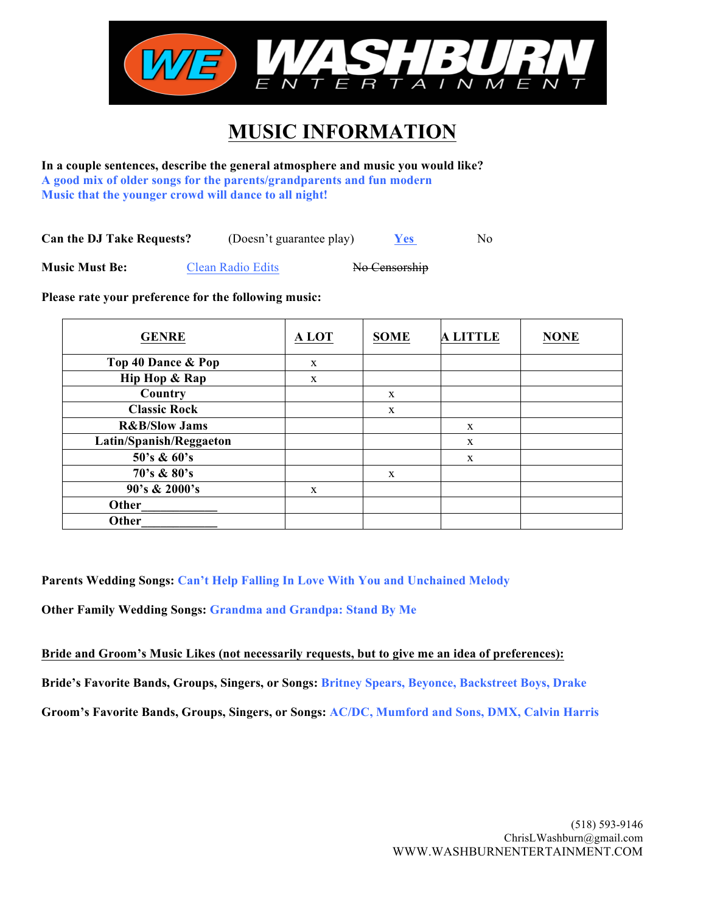

## **MUSIC INFORMATION**

**In a couple sentences, describe the general atmosphere and music you would like? A good mix of older songs for the parents/grandparents and fun modern Music that the younger crowd will dance to all night!**

**Can the DJ Take Requests?** (Doesn't guarantee play) **Yes** No

**Music Must Be:** Clean Radio Edits No Censorship

**Please rate your preference for the following music:**

| <b>GENRE</b>             | A LOT | <b>SOME</b> | <b>A LITTLE</b> | <b>NONE</b> |
|--------------------------|-------|-------------|-----------------|-------------|
| Top 40 Dance & Pop       | X     |             |                 |             |
| Hip Hop & Rap            | X     |             |                 |             |
| Country                  |       | X           |                 |             |
| <b>Classic Rock</b>      |       | X           |                 |             |
| <b>R&amp;B/Slow Jams</b> |       |             | X               |             |
| Latin/Spanish/Reggaeton  |       |             | X               |             |
| 50's & 60's              |       |             | X               |             |
| 70's & 80's              |       | X           |                 |             |
| 90's & 2000's            | X     |             |                 |             |
| Other                    |       |             |                 |             |
| Other                    |       |             |                 |             |

**Parents Wedding Songs: Can't Help Falling In Love With You and Unchained Melody**

**Other Family Wedding Songs: Grandma and Grandpa: Stand By Me**

**Bride and Groom's Music Likes (not necessarily requests, but to give me an idea of preferences):**

**Bride's Favorite Bands, Groups, Singers, or Songs: Britney Spears, Beyonce, Backstreet Boys, Drake**

**Groom's Favorite Bands, Groups, Singers, or Songs: AC/DC, Mumford and Sons, DMX, Calvin Harris**

(518) 593-9146 ChrisLWashburn@gmail.com WWW.WASHBURNENTERTAINMENT.COM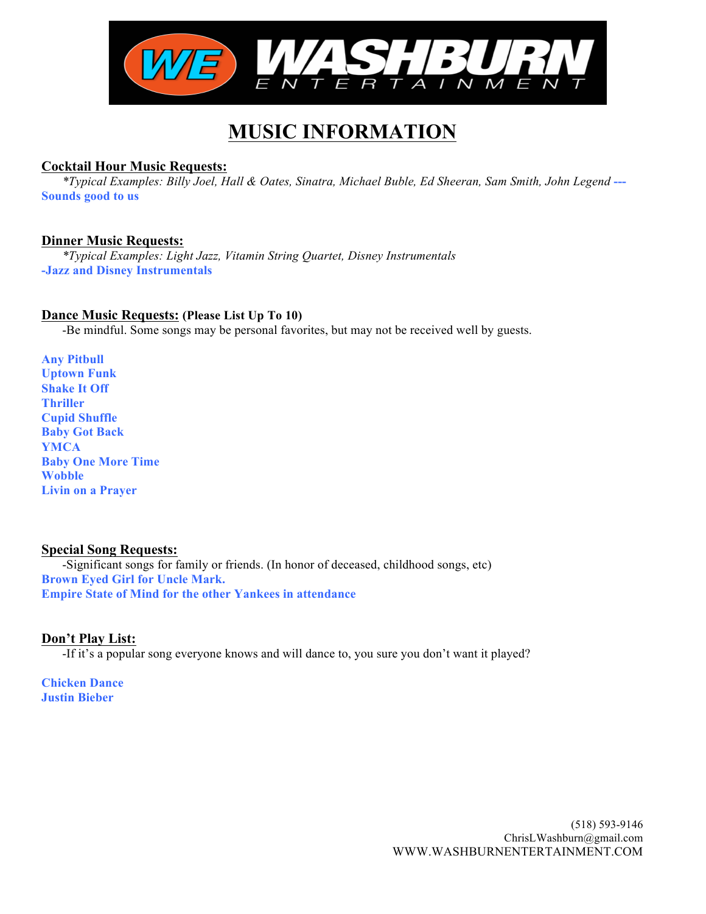

## **MUSIC INFORMATION**

#### **Cocktail Hour Music Requests:**

*\*Typical Examples: Billy Joel, Hall & Oates, Sinatra, Michael Buble, Ed Sheeran, Sam Smith, John Legend* **--- Sounds good to us**

#### **Dinner Music Requests:**

*\*Typical Examples: Light Jazz, Vitamin String Quartet, Disney Instrumentals* **-Jazz and Disney Instrumentals**

#### **Dance Music Requests: (Please List Up To 10)**

-Be mindful. Some songs may be personal favorites, but may not be received well by guests.

**Any Pitbull Uptown Funk Shake It Off Thriller Cupid Shuffle Baby Got Back YMCA Baby One More Time Wobble Livin on a Prayer**

#### **Special Song Requests:**

-Significant songs for family or friends. (In honor of deceased, childhood songs, etc) **Brown Eyed Girl for Uncle Mark. Empire State of Mind for the other Yankees in attendance**

#### **Don't Play List:**

-If it's a popular song everyone knows and will dance to, you sure you don't want it played?

**Chicken Dance Justin Bieber**

> (518) 593-9146 ChrisLWashburn@gmail.com WWW.WASHBURNENTERTAINMENT.COM